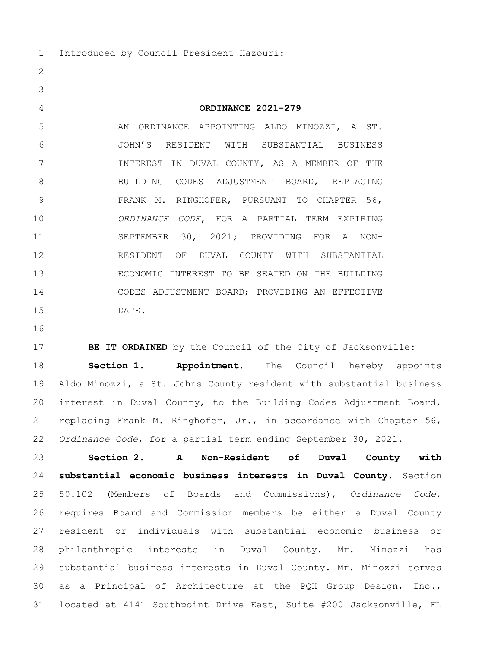1 Introduced by Council President Hazouri:

## **ORDINANCE 2021-279**

5 AN ORDINANCE APPOINTING ALDO MINOZZI, A ST. JOHN'S RESIDENT WITH SUBSTANTIAL BUSINESS INTEREST IN DUVAL COUNTY, AS A MEMBER OF THE 8 BUILDING CODES ADJUSTMENT BOARD, REPLACING FRANK M. RINGHOFER, PURSUANT TO CHAPTER 56, *ORDINANCE CODE*, FOR A PARTIAL TERM EXPIRING SEPTEMBER 30, 2021; PROVIDING FOR A NON- RESIDENT OF DUVAL COUNTY WITH SUBSTANTIAL ECONOMIC INTEREST TO BE SEATED ON THE BUILDING CODES ADJUSTMENT BOARD; PROVIDING AN EFFECTIVE DATE.

**BE IT ORDAINED** by the Council of the City of Jacksonville: **Section 1. Appointment.** The Council hereby appoints Aldo Minozzi, a St. Johns County resident with substantial business interest in Duval County, to the Building Codes Adjustment Board, replacing Frank M. Ringhofer, Jr., in accordance with Chapter 56, *Ordinance Code*, for a partial term ending September 30, 2021.

 **Section 2. A Non-Resident of Duval County with substantial economic business interests in Duval County.** Section 50.102 (Members of Boards and Commissions), *Ordinance Code*, requires Board and Commission members be either a Duval County resident or individuals with substantial economic business or philanthropic interests in Duval County. Mr. Minozzi has substantial business interests in Duval County. Mr. Minozzi serves as a Principal of Architecture at the PQH Group Design, Inc., located at 4141 Southpoint Drive East, Suite #200 Jacksonville, FL